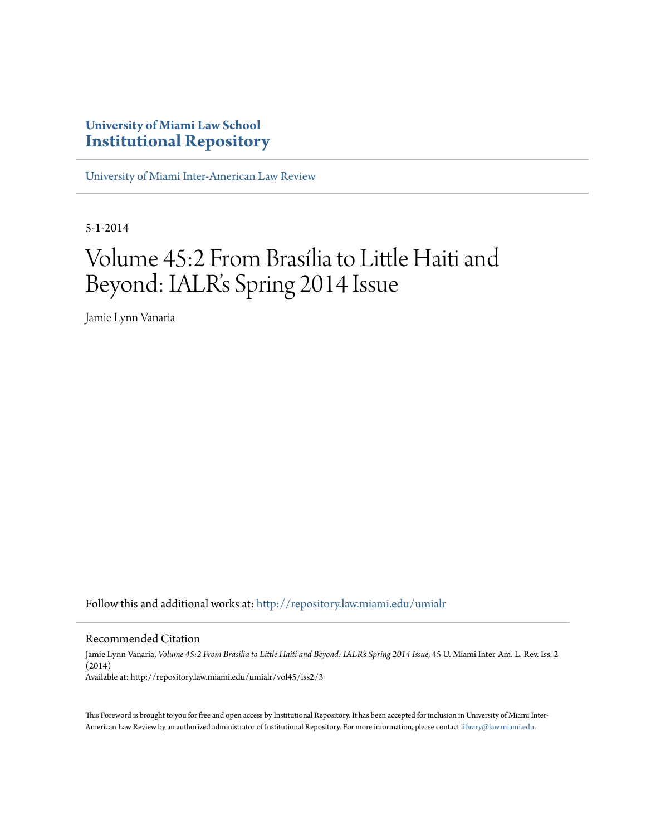## **University of Miami Law School [Institutional Repository](http://repository.law.miami.edu?utm_source=repository.law.miami.edu%2Fumialr%2Fvol45%2Fiss2%2F3&utm_medium=PDF&utm_campaign=PDFCoverPages)**

[University of Miami Inter-American Law Review](http://repository.law.miami.edu/umialr?utm_source=repository.law.miami.edu%2Fumialr%2Fvol45%2Fiss2%2F3&utm_medium=PDF&utm_campaign=PDFCoverPages)

5-1-2014

# Volume 45:2 From Brasília to Little Haiti and Beyond: IALR's Spring 2014 Issue

Jamie Lynn Vanaria

Follow this and additional works at: [http://repository.law.miami.edu/umialr](http://repository.law.miami.edu/umialr?utm_source=repository.law.miami.edu%2Fumialr%2Fvol45%2Fiss2%2F3&utm_medium=PDF&utm_campaign=PDFCoverPages)

#### Recommended Citation

Jamie Lynn Vanaria, *Volume 45:2 From Brasília to Little Haiti and Beyond: IALR's Spring 2014 Issue*, 45 U. Miami Inter-Am. L. Rev. Iss. 2 (2014) Available at: http://repository.law.miami.edu/umialr/vol45/iss2/3

This Foreword is brought to you for free and open access by Institutional Repository. It has been accepted for inclusion in University of Miami InterAmerican Law Review by an authorized administrator of Institutional Repository. For more information, please contact [library@law.miami.edu](mailto:library@law.miami.edu).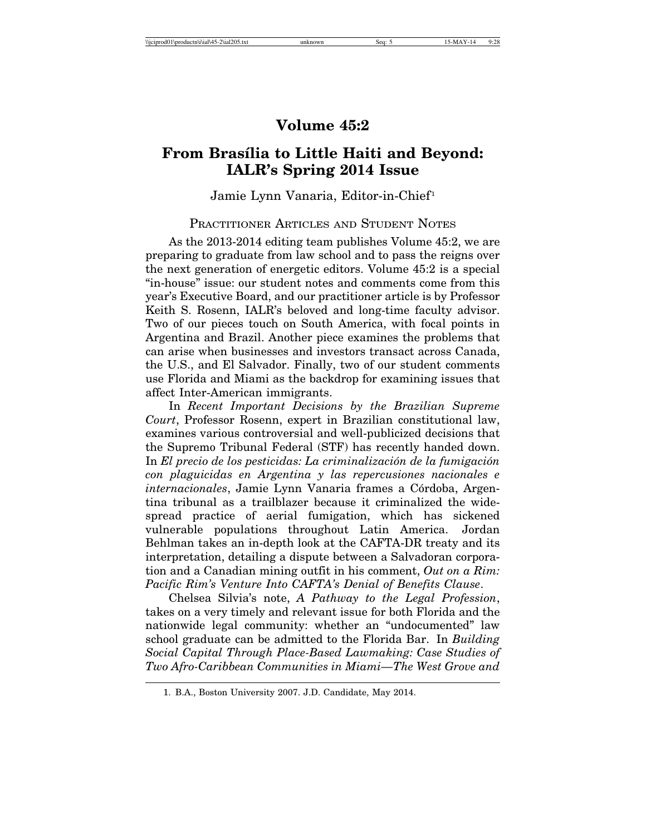## **Volume 45:2**

## **From Bras´ılia to Little Haiti and Beyond: IALR's Spring 2014 Issue**

#### Jamie Lynn Vanaria, Editor-in-Chief<sup>1</sup>

### PRACTITIONER ARTICLES AND STUDENT NOTES

As the 2013-2014 editing team publishes Volume 45:2, we are preparing to graduate from law school and to pass the reigns over the next generation of energetic editors. Volume 45:2 is a special "in-house" issue: our student notes and comments come from this year's Executive Board, and our practitioner article is by Professor Keith S. Rosenn, IALR's beloved and long-time faculty advisor. Two of our pieces touch on South America, with focal points in Argentina and Brazil. Another piece examines the problems that can arise when businesses and investors transact across Canada, the U.S., and El Salvador. Finally, two of our student comments use Florida and Miami as the backdrop for examining issues that affect Inter-American immigrants.

In *Recent Important Decisions by the Brazilian Supreme Court*, Professor Rosenn, expert in Brazilian constitutional law, examines various controversial and well-publicized decisions that the Supremo Tribunal Federal (STF) has recently handed down. In *El precio de los pesticidas: La criminalización de la fumigación con plaguicidas en Argentina y las repercusiones nacionales e internacionales*, Jamie Lynn Vanaria frames a Córdoba, Argentina tribunal as a trailblazer because it criminalized the widespread practice of aerial fumigation, which has sickened vulnerable populations throughout Latin America. Jordan Behlman takes an in-depth look at the CAFTA-DR treaty and its interpretation, detailing a dispute between a Salvadoran corporation and a Canadian mining outfit in his comment, *Out on a Rim: Pacific Rim's Venture Into CAFTA's Denial of Benefits Clause*.

Chelsea Silvia's note, *A Pathway to the Legal Profession*, takes on a very timely and relevant issue for both Florida and the nationwide legal community: whether an "undocumented" law school graduate can be admitted to the Florida Bar. In *Building Social Capital Through Place-Based Lawmaking: Case Studies of Two Afro-Caribbean Communities in Miami—The West Grove and*

<sup>1.</sup> B.A., Boston University 2007. J.D. Candidate, May 2014.